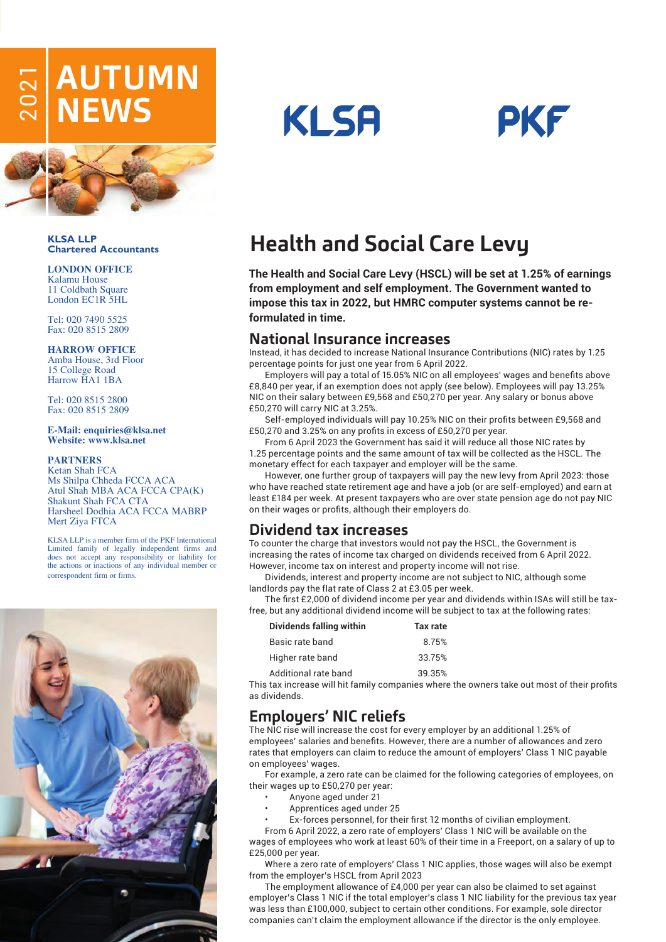# $\stackrel{\leftharpoonup}{\approx}$  **AUTUMN**<br> $\stackrel{\leftharpoonup}{\approx}$  **NEWS**



**KLSA LLP Chartered Accountants**

#### **LONDON OFFICE** Kalamu House

11 Coldbath Square London EC1R 5HL

Tel: 020 7490 5525 Fax: 020 8515 2809

#### **HARROW OFFICE**

Amba House, 3rd Floor 15 College Road Harrow HA1 1BA

Tel: 020 8515 2800 Fax: 020 8515 2809

#### **E-Mail: enquiries@klsa.net Website: www.klsa.net**

#### **PARTNERS**

Ketan Shah FCA Ms Shilpa Chheda FCCA ACA Atul Shah MBA ACA FCCA CPA(K) Shakunt Shah FCA CTA Harsheel Dodhia ACA FCCA MABRP Mert Ziya FTCA

KLSA LLP is a member firm of the PKF International Limited family of legally independent firms and does not accept any responsibility or liability for the actions or inactions of any individual member or correspondent firm or firms.







# **Health and Social Care Levy**

**The Health and Social Care Levy (HSCL) will be set at 1.25% of earnings from employment and self employment. The Government wanted to impose this tax in 2022, but HMRC computer systems cannot be reformulated in time.** 

## **National Insurance increases**

Instead, it has decided to increase National Insurance Contributions (NIC) rates by 1.25 percentage points for just one year from 6 April 2022.

Employers will pay a total of 15.05% NIC on all employees' wages and benefits above £8,840 per year, if an exemption does not apply (see below). Employees will pay 13.25% NIC on their salary between £9,568 and £50,270 per year. Any salary or bonus above £50,270 will carry NIC at 3.25%.

Self-employed individuals will pay 10.25% NIC on their profits between £9,568 and £50,270 and 3.25% on any profits in excess of £50,270 per year.

From 6 April 2023 the Government has said it will reduce all those NIC rates by 1.25 percentage points and the same amount of tax will be collected as the HSCL. The monetary effect for each taxpayer and employer will be the same.

However, one further group of taxpayers will pay the new levy from April 2023: those who have reached state retirement age and have a job (or are self-employed) and earn at least £184 per week. At present taxpayers who are over state pension age do not pay NIC on their wages or profits, although their employers do.

# **Dividend tax increases**

To counter the charge that investors would not pay the HSCL, the Government is increasing the rates of income tax charged on dividends received from 6 April 2022. However, income tax on interest and property income will not rise.

Dividends, interest and property income are not subject to NIC, although some landlords pay the flat rate of Class 2 at £3.05 per week.

The first £2,000 of dividend income per year and dividends within ISAs will still be taxfree, but any additional dividend income will be subject to tax at the following rates:

| Dividends falling within | Tax rate |
|--------------------------|----------|
| Basic rate band          | 8 7 5 %  |
| Higher rate band         | 3375%    |
| Additional rate band     | 39 35%   |

This tax increase will hit family companies where the owners take out most of their profits as dividends.

# **Employers' NIC reliefs**

The NIC rise will increase the cost for every employer by an additional 1.25% of employees' salaries and benefits. However, there are a number of allowances and zero rates that employers can claim to reduce the amount of employers' Class 1 NIC payable on employees' wages.

For example, a zero rate can be claimed for the following categories of employees, on their wages up to £50,270 per year:

- Anyone aged under 21
- Apprentices aged under 25
- Ex-forces personnel, for their first 12 months of civilian employment.

From 6 April 2022, a zero rate of employers' Class 1 NIC will be available on the wages of employees who work at least 60% of their time in a Freeport, on a salary of up to £25,000 per year.

Where a zero rate of employers' Class 1 NIC applies, those wages will also be exempt from the employer's HSCL from April 2023

The employment allowance of £4,000 per year can also be claimed to set against employer's Class 1 NIC if the total employer's class 1 NIC liability for the previous tax year was less than £100,000, subject to certain other conditions. For example, sole director companies can't claim the employment allowance if the director is the only employee.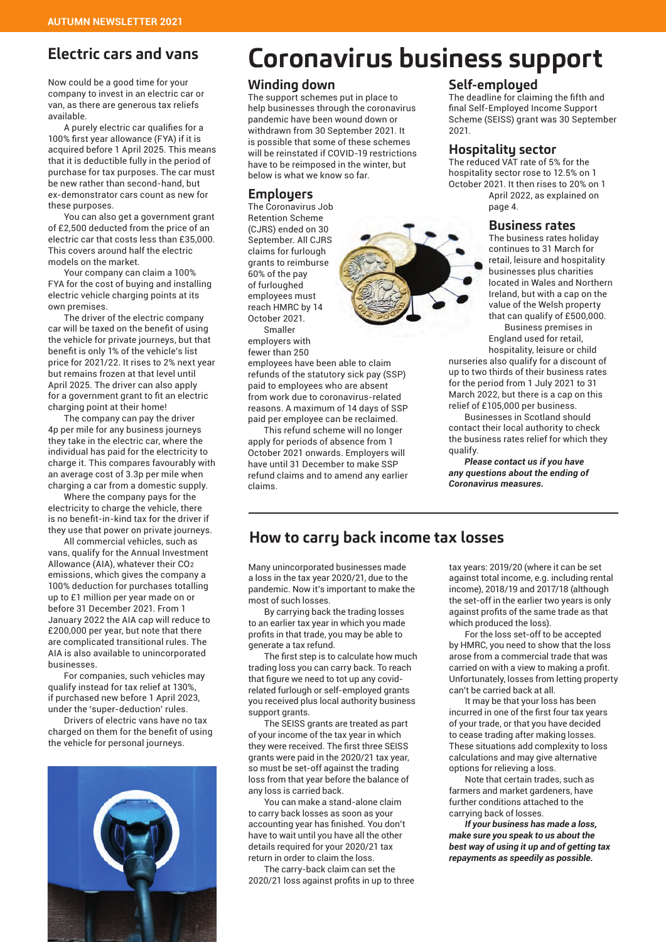# **Electric cars and vans**

Now could be a good time for your company to invest in an electric car or van, as there are generous tax reliefs available.

A purely electric car qualifies for a 100% first year allowance (FYA) if it is acquired before 1 April 2025. This means that it is deductible fully in the period of purchase for tax purposes. The car must be new rather than second-hand, but ex-demonstrator cars count as new for these purposes.

You can also get a government grant of £2,500 deducted from the price of an electric car that costs less than £35,000. This covers around half the electric models on the market.

Your company can claim a 100% FYA for the cost of buying and installing electric vehicle charging points at its own premises.

The driver of the electric company car will be taxed on the benefit of using the vehicle for private journeys, but that benefit is only 1% of the vehicle's list price for 2021/22. It rises to 2% next year but remains frozen at that level until April 2025. The driver can also apply for a government grant to fit an electric charging point at their home!

The company can pay the driver 4p per mile for any business journeys they take in the electric car, where the individual has paid for the electricity to charge it. This compares favourably with an average cost of 3.3p per mile when charging a car from a domestic supply.

Where the company pays for the electricity to charge the vehicle, there is no benefit-in-kind tax for the driver if they use that power on private journeys.

All commercial vehicles, such as vans, qualify for the Annual Investment Allowance (AIA), whatever their CO2 emissions, which gives the company a 100% deduction for purchases totalling up to £1 million per year made on or before 31 December 2021. From 1 January 2022 the AIA cap will reduce to £200,000 per year, but note that there are complicated transitional rules. The AIA is also available to unincorporated businesses.

For companies, such vehicles may qualify instead for tax relief at 130%, if purchased new before 1 April 2023, under the 'super-deduction' rules.

Drivers of electric vans have no tax charged on them for the benefit of using the vehicle for personal journeys.



# **Coronavirus business support**

#### **Winding down**

The support schemes put in place to help businesses through the coronavirus pandemic have been wound down or withdrawn from 30 September 2021. It is possible that some of these schemes will be reinstated if COVID-19 restrictions have to be reimposed in the winter, but below is what we know so far.

#### **Employers**

The Coronavirus Job Retention Scheme (CJRS) ended on 30 September. All CJRS claims for furlough grants to reimburse 60% of the pay of furloughed employees must reach HMRC by 14 October 2021. Smaller employers with

fewer than 250

employees have been able to claim refunds of the statutory sick pay (SSP) paid to employees who are absent from work due to coronavirus-related reasons. A maximum of 14 days of SSP paid per employee can be reclaimed.

This refund scheme will no longer apply for periods of absence from 1 October 2021 onwards. Employers will have until 31 December to make SSP refund claims and to amend any earlier claims.

#### **Self-employed**

The deadline for claiming the fifth and final Self-Employed Income Support Scheme (SEISS) grant was 30 September 2021.

#### **Hospitality sector**

The reduced VAT rate of 5% for the hospitality sector rose to 12.5% on 1 October 2021. It then rises to 20% on 1 April 2022, as explained on page 4.

#### **Business rates**

The business rates holiday continues to 31 March for retail, leisure and hospitality businesses plus charities located in Wales and Northern Ireland, but with a cap on the value of the Welsh property that can qualify of £500,000.

Business premises in England used for retail, hospitality, leisure or child

nurseries also qualify for a discount of up to two thirds of their business rates for the period from 1 July 2021 to 31 March 2022, but there is a cap on this relief of £105,000 per business.

Businesses in Scotland should contact their local authority to check the business rates relief for which they qualify.

*Please contact us if you have any questions about the ending of Coronavirus measures.*

# **How to carry back income tax losses**

Many unincorporated businesses made a loss in the tax year 2020/21, due to the pandemic. Now it's important to make the most of such losses.

By carrying back the trading losses to an earlier tax year in which you made profits in that trade, you may be able to generate a tax refund.

The first step is to calculate how much trading loss you can carry back. To reach that figure we need to tot up any covidrelated furlough or self-employed grants you received plus local authority business support grants.

The SEISS grants are treated as part of your income of the tax year in which they were received. The first three SEISS grants were paid in the 2020/21 tax year, so must be set-off against the trading loss from that year before the balance of any loss is carried back.

You can make a stand-alone claim to carry back losses as soon as your accounting year has finished. You don't have to wait until you have all the other details required for your 2020/21 tax return in order to claim the loss.

The carry-back claim can set the 2020/21 loss against profits in up to three tax years: 2019/20 (where it can be set against total income, e.g. including rental income), 2018/19 and 2017/18 (although the set-off in the earlier two years is only against profits of the same trade as that which produced the loss).

For the loss set-off to be accepted by HMRC, you need to show that the loss arose from a commercial trade that was carried on with a view to making a profit. Unfortunately, losses from letting property can't be carried back at all.

It may be that your loss has been incurred in one of the first four tax years of your trade, or that you have decided to cease trading after making losses. These situations add complexity to loss calculations and may give alternative options for relieving a loss.

Note that certain trades, such as farmers and market gardeners, have further conditions attached to the carrying back of losses.

*If your business has made a loss, make sure you speak to us about the best way of using it up and of getting tax repayments as speedily as possible.*

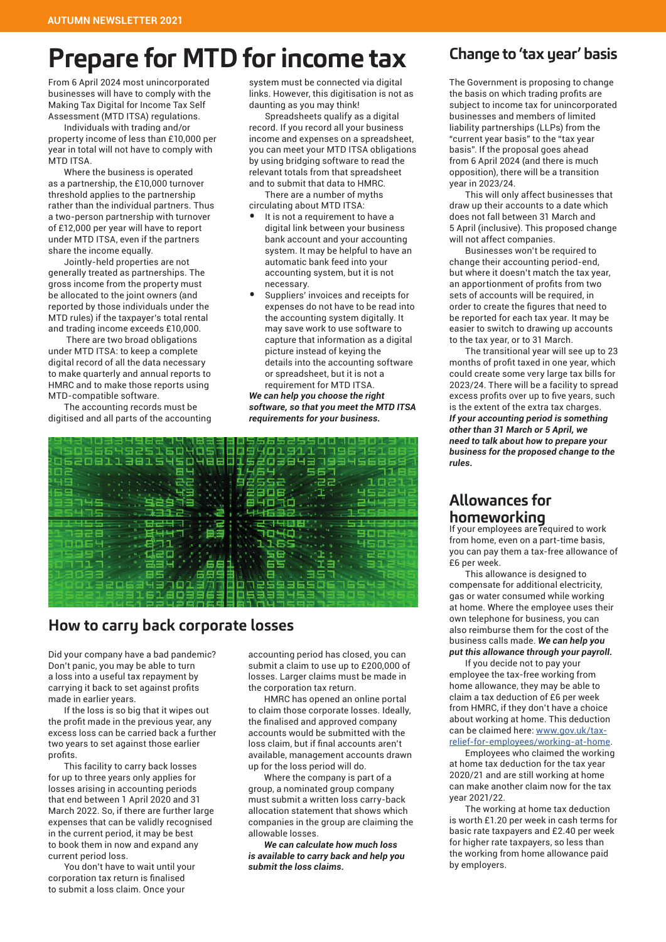# **Prepare for MTD for income tax**

From 6 April 2024 most unincorporated businesses will have to comply with the Making Tax Digital for Income Tax Self Assessment (MTD ITSA) regulations.

Individuals with trading and/or property income of less than £10,000 per year in total will not have to comply with MTD ITSA.

Where the business is operated as a partnership, the £10,000 turnover threshold applies to the partnership rather than the individual partners. Thus a two-person partnership with turnover of £12,000 per year will have to report under MTD ITSA, even if the partners share the income equally.

Jointly-held properties are not generally treated as partnerships. The gross income from the property must be allocated to the joint owners (and reported by those individuals under the MTD rules) if the taxpayer's total rental and trading income exceeds £10,000.

 There are two broad obligations under MTD ITSA: to keep a complete digital record of all the data necessary to make quarterly and annual reports to HMRC and to make those reports using MTD-compatible software.

The accounting records must be digitised and all parts of the accounting system must be connected via digital links. However, this digitisation is not as daunting as you may think!

Spreadsheets qualify as a digital record. If you record all your business income and expenses on a spreadsheet, you can meet your MTD ITSA obligations by using bridging software to read the relevant totals from that spreadsheet and to submit that data to HMRC.

There are a number of myths circulating about MTD ITSA:

- It is not a requirement to have a digital link between your business bank account and your accounting system. It may be helpful to have an automatic bank feed into your accounting system, but it is not necessary.
- Suppliers' invoices and receipts for expenses do not have to be read into the accounting system digitally. It may save work to use software to capture that information as a digital picture instead of keying the details into the accounting software or spreadsheet, but it is not a requirement for MTD ITSA.

*We can help you choose the right software, so that you meet the MTD ITSA requirements for your business.* 



# **How to carry back corporate losses**

Did your company have a bad pandemic? Don't panic, you may be able to turn a loss into a useful tax repayment by carrying it back to set against profits made in earlier years.

If the loss is so big that it wipes out the profit made in the previous year, any excess loss can be carried back a further two years to set against those earlier profits.

This facility to carry back losses for up to three years only applies for losses arising in accounting periods that end between 1 April 2020 and 31 March 2022. So, if there are further large expenses that can be validly recognised in the current period, it may be best to book them in now and expand any current period loss.

You don't have to wait until your corporation tax return is finalised to submit a loss claim. Once your

accounting period has closed, you can submit a claim to use up to £200,000 of losses. Larger claims must be made in the corporation tax return.

HMRC has opened an online portal to claim those corporate losses. Ideally, the finalised and approved company accounts would be submitted with the loss claim, but if final accounts aren't available, management accounts drawn up for the loss period will do.

Where the company is part of a group, a nominated group company must submit a written loss carry-back allocation statement that shows which companies in the group are claiming the allowable losses.

*We can calculate how much loss is available to carry back and help you submit the loss claims.* 

# **Change to 'tax year' basis**

The Government is proposing to change the basis on which trading profits are subject to income tax for unincorporated businesses and members of limited liability partnerships (LLPs) from the "current year basis" to the "tax year basis". If the proposal goes ahead from 6 April 2024 (and there is much opposition), there will be a transition year in 2023/24.

This will only affect businesses that draw up their accounts to a date which does not fall between 31 March and 5 April (inclusive). This proposed change will not affect companies.

Businesses won't be required to change their accounting period-end, but where it doesn't match the tax year, an apportionment of profits from two sets of accounts will be required, in order to create the figures that need to be reported for each tax year. It may be easier to switch to drawing up accounts to the tax year, or to 31 March.

The transitional year will see up to 23 months of profit taxed in one year, which could create some very large tax bills for 2023/24. There will be a facility to spread excess profits over up to five years, such is the extent of the extra tax charges. *If your accounting period is something other than 31 March or 5 April, we need to talk about how to prepare your business for the proposed change to the rules.*

## **Allowances for homeworking**

If your employees are required to work from home, even on a part-time basis, you can pay them a tax-free allowance of £6 per week.

This allowance is designed to compensate for additional electricity, gas or water consumed while working at home. Where the employee uses their own telephone for business, you can also reimburse them for the cost of the business calls made. *We can help you put this allowance through your payroll.* 

If you decide not to pay your employee the tax-free working from home allowance, they may be able to claim a tax deduction of £6 per week from HMRC, if they don't have a choice about working at home. This deduction can be claimed here: www.gov.uk/taxrelief-for-employees/working-at-home.

Employees who claimed the working at home tax deduction for the tax year 2020/21 and are still working at home can make another claim now for the tax year 2021/22.

The working at home tax deduction is worth £1.20 per week in cash terms for basic rate taxpayers and £2.40 per week for higher rate taxpayers, so less than the working from home allowance paid by employers.